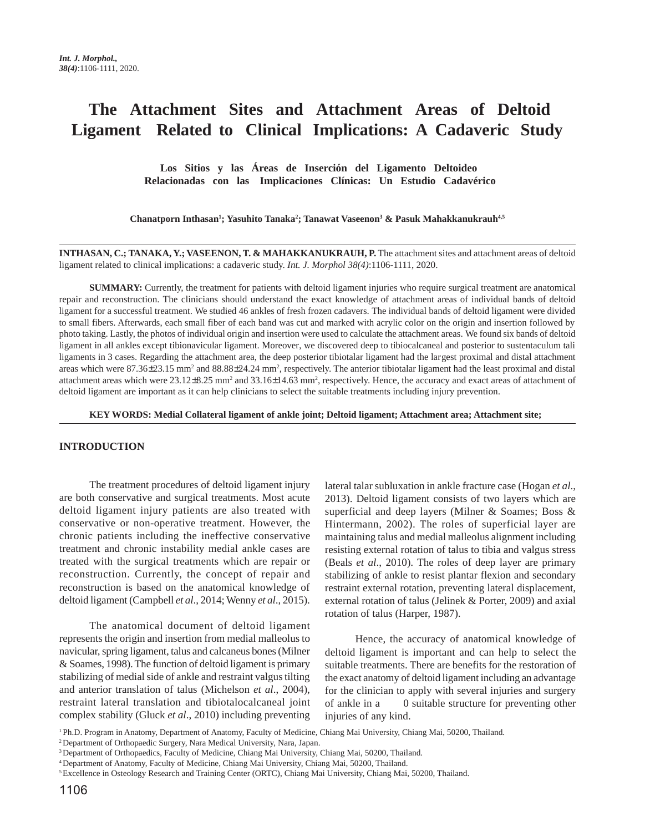# **The Attachment Sites and Attachment Areas of Deltoid Ligament Related to Clinical Implications: A Cadaveric Study**

 **Los Sitios y las Áreas de Inserción del Ligamento Deltoideo Relacionadas con las Implicaciones Clínicas: Un Estudio Cadavérico**

Chanatporn Inthasan<sup>1</sup>; Yasuhito Tanaka<sup>2</sup>; Tanawat Vaseenon<sup>3</sup> & Pasuk Mahakkanukrauh<sup>4,5</sup>

**INTHASAN, C.; TANAKA, Y.; VASEENON, T. & MAHAKKANUKRAUH, P.** The attachment sites and attachment areas of deltoid ligament related to clinical implications: a cadaveric study. *Int. J. Morphol 38(4)*:1106-1111, 2020.

**SUMMARY:** Currently, the treatment for patients with deltoid ligament injuries who require surgical treatment are anatomical repair and reconstruction. The clinicians should understand the exact knowledge of attachment areas of individual bands of deltoid ligament for a successful treatment. We studied 46 ankles of fresh frozen cadavers. The individual bands of deltoid ligament were divided to small fibers. Afterwards, each small fiber of each band was cut and marked with acrylic color on the origin and insertion followed by photo taking. Lastly, the photos of individual origin and insertion were used to calculate the attachment areas. We found six bands of deltoid ligament in all ankles except tibionavicular ligament. Moreover, we discovered deep to tibiocalcaneal and posterior to sustentaculum tali ligaments in 3 cases. Regarding the attachment area, the deep posterior tibiotalar ligament had the largest proximal and distal attachment areas which were 87.36±23.15 mm<sup>2</sup> and 88.88±24.24 mm<sup>2</sup>, respectively. The anterior tibiotalar ligament had the least proximal and distal attachment areas which were 23.12±8.25 mm<sup>2</sup> and 33.16±14.63 mm<sup>2</sup>, respectively. Hence, the accuracy and exact areas of attachment of deltoid ligament are important as it can help clinicians to select the suitable treatments including injury prevention.

**KEY WORDS: Medial Collateral ligament of ankle joint; Deltoid ligament; Attachment area; Attachment site;**

#### **INTRODUCTION**

The treatment procedures of deltoid ligament injury are both conservative and surgical treatments. Most acute deltoid ligament injury patients are also treated with conservative or non-operative treatment. However, the chronic patients including the ineffective conservative treatment and chronic instability medial ankle cases are treated with the surgical treatments which are repair or reconstruction. Currently, the concept of repair and reconstruction is based on the anatomical knowledge of deltoid ligament (Campbell *et al*., 2014; Wenny *et al*., 2015).

The anatomical document of deltoid ligament represents the origin and insertion from medial malleolus to navicular, spring ligament, talus and calcaneus bones (Milner & Soames, 1998). The function of deltoid ligament is primary stabilizing of medial side of ankle and restraint valgus tilting and anterior translation of talus (Michelson *et al*., 2004), restraint lateral translation and tibiotalocalcaneal joint complex stability (Gluck *et al*., 2010) including preventing lateral talar subluxation in ankle fracture case (Hogan *et al*., 2013). Deltoid ligament consists of two layers which are superficial and deep layers (Milner & Soames; Boss & Hintermann, 2002). The roles of superficial layer are maintaining talus and medial malleolus alignment including resisting external rotation of talus to tibia and valgus stress (Beals *et al*., 2010). The roles of deep layer are primary stabilizing of ankle to resist plantar flexion and secondary restraint external rotation, preventing lateral displacement, external rotation of talus (Jelinek & Porter, 2009) and axial rotation of talus (Harper, 1987).

Hence, the accuracy of anatomical knowledge of deltoid ligament is important and can help to select the suitable treatments. There are benefits for the restoration of the exact anatomy of deltoid ligament including an advantage for the clinician to apply with several injuries and surgery of ankle in a 0 suitable structure for preventing other injuries of any kind.

1 Ph.D. Program in Anatomy, Department of Anatomy, Faculty of Medicine, Chiang Mai University, Chiang Mai, 50200, Thailand.

2 Department of Orthopaedic Surgery, Nara Medical University, Nara, Japan.

<sup>3</sup> Department of Orthopaedics, Faculty of Medicine, Chiang Mai University, Chiang Mai, 50200, Thailand.

<sup>4</sup> Department of Anatomy, Faculty of Medicine, Chiang Mai University, Chiang Mai, 50200, Thailand.

<sup>&</sup>lt;sup>5</sup> Excellence in Osteology Research and Training Center (ORTC), Chiang Mai University, Chiang Mai, 50200, Thailand.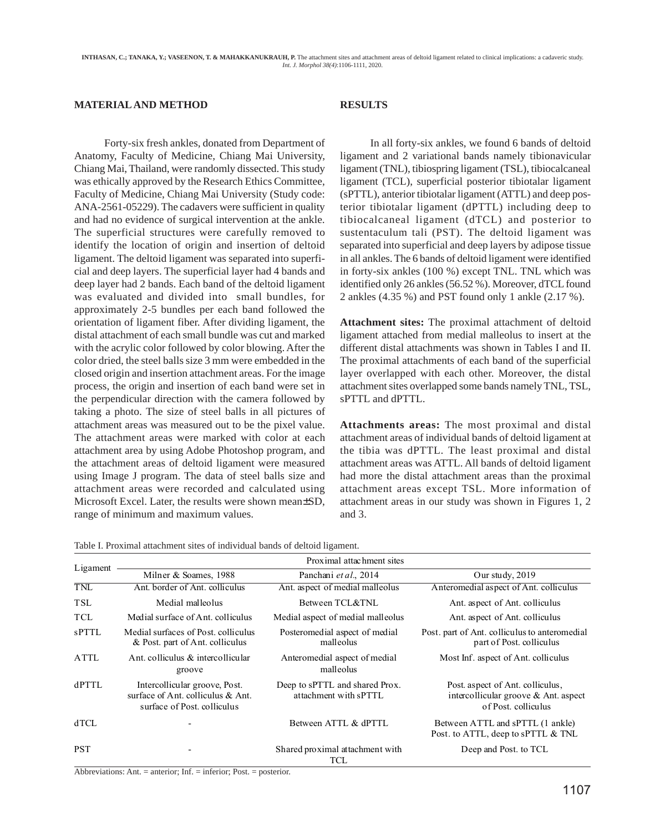## **MATERIAL AND METHOD**

Forty-six fresh ankles, donated from Department of Anatomy, Faculty of Medicine, Chiang Mai University, Chiang Mai, Thailand, were randomly dissected. This study was ethically approved by the Research Ethics Committee, Faculty of Medicine, Chiang Mai University (Study code: ANA-2561-05229). The cadavers were sufficient in quality and had no evidence of surgical intervention at the ankle. The superficial structures were carefully removed to identify the location of origin and insertion of deltoid ligament. The deltoid ligament was separated into superficial and deep layers. The superficial layer had 4 bands and deep layer had 2 bands. Each band of the deltoid ligament was evaluated and divided into small bundles, for approximately 2-5 bundles per each band followed the orientation of ligament fiber. After dividing ligament, the distal attachment of each small bundle was cut and marked with the acrylic color followed by color blowing. After the color dried, the steel balls size 3 mm were embedded in the closed origin and insertion attachment areas. For the image process, the origin and insertion of each band were set in the perpendicular direction with the camera followed by taking a photo. The size of steel balls in all pictures of attachment areas was measured out to be the pixel value. The attachment areas were marked with color at each attachment area by using Adobe Photoshop program, and the attachment areas of deltoid ligament were measured using Image J program. The data of steel balls size and attachment areas were recorded and calculated using Microsoft Excel. Later, the results were shown mean±SD, range of minimum and maximum values.

## **RESULTS**

In all forty-six ankles, we found 6 bands of deltoid ligament and 2 variational bands namely tibionavicular ligament (TNL), tibiospring ligament (TSL), tibiocalcaneal ligament (TCL), superficial posterior tibiotalar ligament (sPTTL), anterior tibiotalar ligament (ATTL) and deep posterior tibiotalar ligament (dPTTL) including deep to tibiocalcaneal ligament (dTCL) and posterior to sustentaculum tali (PST). The deltoid ligament was separated into superficial and deep layers by adipose tissue in all ankles. The 6 bands of deltoid ligament were identified in forty-six ankles (100 %) except TNL. TNL which was identified only 26 ankles (56.52 %). Moreover, dTCL found 2 ankles (4.35 %) and PST found only 1 ankle (2.17 %).

**Attachment sites:** The proximal attachment of deltoid ligament attached from medial malleolus to insert at the different distal attachments was shown in Tables I and II. The proximal attachments of each band of the superficial layer overlapped with each other. Moreover, the distal attachment sites overlapped some bands namely TNL, TSL, sPTTL and dPTTL.

**Attachments areas:** The most proximal and distal attachment areas of individual bands of deltoid ligament at the tibia was dPTTL. The least proximal and distal attachment areas was ATTL. All bands of deltoid ligament had more the distal attachment areas than the proximal attachment areas except TSL. More information of attachment areas in our study was shown in Figures 1, 2 and 3.

| Table I. Proximal attachment sites of individual bands of deltoid ligament. |
|-----------------------------------------------------------------------------|
|-----------------------------------------------------------------------------|

| Ligament     | Proximal attachment sites                                                                         |                                                         |                                                                                                    |  |  |  |
|--------------|---------------------------------------------------------------------------------------------------|---------------------------------------------------------|----------------------------------------------------------------------------------------------------|--|--|--|
|              | Milner & Soames, 1988                                                                             | Panchani et al., 2014                                   | Our study, 2019                                                                                    |  |  |  |
| TNL          | Ant. border of Ant. colliculus                                                                    | Ant. aspect of medial malleolus                         | Anteromedial aspect of Ant. colliculus                                                             |  |  |  |
| <b>TSL</b>   | Medial malleolus                                                                                  | Between TCL&TNL                                         | Ant. aspect of Ant. colliculus                                                                     |  |  |  |
| <b>TCL</b>   | Medial surface of Ant. colliculus                                                                 | Medial aspect of medial malleolus                       | Ant. aspect of Ant. colliculus                                                                     |  |  |  |
| <b>sPTTL</b> | Medial surfaces of Post. colliculus<br>& Post. part of Ant. colliculus                            | Posteromedial aspect of medial<br>malleolus             | Post, part of Ant. colliculus to anteromedial<br>part of Post. colliculus                          |  |  |  |
| ATTL         | Ant. colliculus & intercollicular<br>groove                                                       | Anteromedial aspect of medial<br>malleolus              | Most Inf. aspect of Ant. colliculus                                                                |  |  |  |
| dPTTL        | Intercollicular groove, Post.<br>surface of Ant. colliculus & Ant.<br>surface of Post. colliculus | Deep to sPTTL and shared Prox.<br>attachment with sPTTL | Post. aspect of Ant. colliculus.<br>intercollicular groove $\&$ Ant. aspect<br>of Post. colliculus |  |  |  |
| dTCL         |                                                                                                   | Between ATTL & dPTTL                                    | Between ATTL and sPTTL (1 ankle)<br>Post. to ATTL, deep to sPTTL & TNL                             |  |  |  |
| PST          |                                                                                                   | Shared proximal attachment with<br>TCL                  | Deep and Post. to TCL                                                                              |  |  |  |

Abbreviations: Ant. = anterior; Inf. = inferior; Post. = posterior.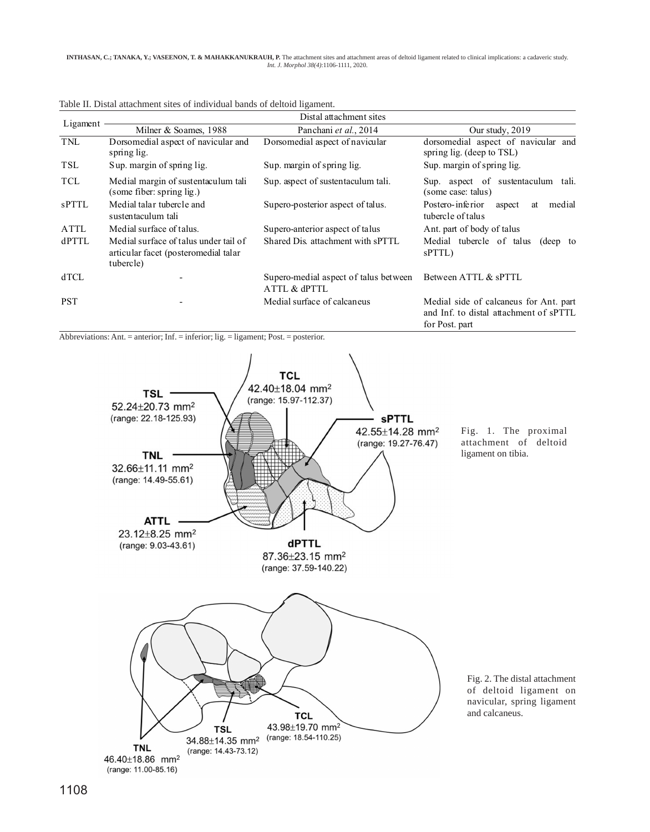| Ligament             | Distal attachment sites                                                                                                |                                                                      |                                                                                                    |  |  |  |  |
|----------------------|------------------------------------------------------------------------------------------------------------------------|----------------------------------------------------------------------|----------------------------------------------------------------------------------------------------|--|--|--|--|
|                      | Milner & Soames, 1988                                                                                                  | Panchani et al., 2014                                                | Our study, 2019                                                                                    |  |  |  |  |
| TNL                  | Dorsomedial aspect of navicular and<br>spring lig.                                                                     | Dorsomedial aspect of navicular                                      | dorsomedial aspect of navicular and<br>spring lig. (deep to TSL)                                   |  |  |  |  |
| TSL                  | Sup. margin of spring lig.                                                                                             | Sup. margin of spring lig.                                           | Sup. margin of spring lig.                                                                         |  |  |  |  |
| <b>TCL</b>           | Medial margin of sustentaculum tali<br>(some fiber: spring lig.)                                                       | Sup. aspect of sustentaculum tali.                                   | Sup. aspect of sustent aculum tali.<br>(some case: talus)                                          |  |  |  |  |
| <b>sPTTL</b>         | Medial talar tubercle and<br>sustentaculum tali                                                                        | Supero-posterior aspect of talus.                                    | Postero-inferior<br>medial<br>aspect<br>at<br>tubercle of talus                                    |  |  |  |  |
| <b>ATTL</b><br>dPTTL | Medial surface of talus.<br>Medial surface of talus under tail of<br>articular facet (posteromedial talar<br>tubercle) | Supero-anterior aspect of talus<br>Shared Dis. attachment with sPTTL | Ant. part of body of talus<br>Medial tubercle of talus<br>(deep to<br>sPTTL)                       |  |  |  |  |
| <b>dTCL</b>          |                                                                                                                        | Supero-medial aspect of talus between<br>ATTL & dPTTL                | Between ATTL & sPTTL                                                                               |  |  |  |  |
| <b>PST</b>           |                                                                                                                        | Medial surface of calcaneus                                          | Medial side of calcaneus for Ant. part<br>and Inf. to distal attachment of sPTTL<br>for Post. part |  |  |  |  |

Table II. Distal attachment sites of individual bands of deltoid ligament.

Abbreviations: Ant. = anterior; Inf. = inferior; lig. = ligament; Post. = posterior.

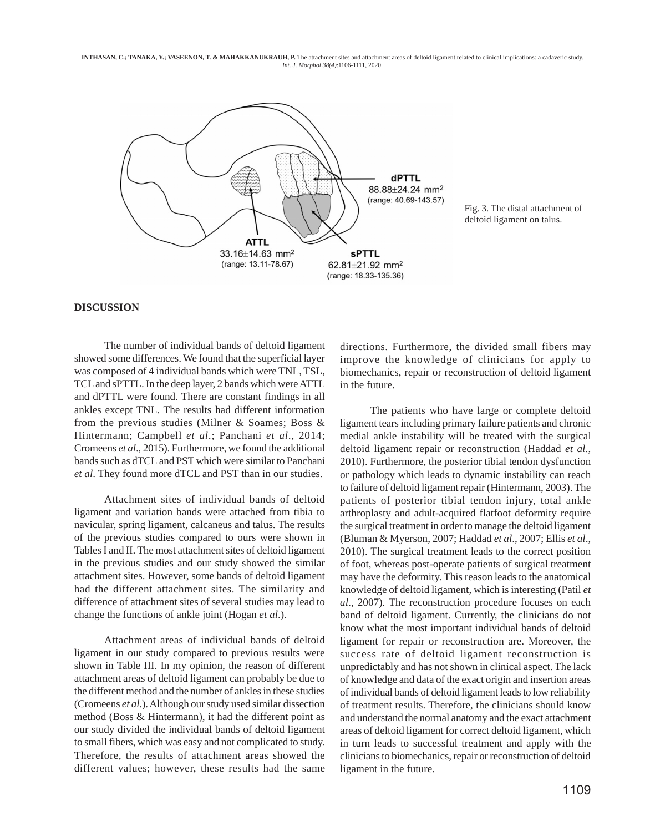**INTHASAN, C.; TANAKA, Y.; VASEENON, T. & MAHAKKANUKRAUH, P.** The attachment sites and attachment areas of deltoid ligament related to clinical implications: a cadaveric study. *Int. J. Morphol 38(4)*:1106-1111, 2020.



Fig. 3. The distal attachment of deltoid ligament on talus.

### **DISCUSSION**

The number of individual bands of deltoid ligament showed some differences. We found that the superficial layer was composed of 4 individual bands which were TNL, TSL, TCL and sPTTL. In the deep layer, 2 bands which were ATTL and dPTTL were found. There are constant findings in all ankles except TNL. The results had different information from the previous studies (Milner & Soames; Boss & Hintermann; Campbell *et al*.; Panchani *et al*., 2014; Cromeens *et al*., 2015). Furthermore, we found the additional bands such as dTCL and PST which were similar to Panchani *et al*. They found more dTCL and PST than in our studies.

Attachment sites of individual bands of deltoid ligament and variation bands were attached from tibia to navicular, spring ligament, calcaneus and talus. The results of the previous studies compared to ours were shown in Tables I and II. The most attachment sites of deltoid ligament in the previous studies and our study showed the similar attachment sites. However, some bands of deltoid ligament had the different attachment sites. The similarity and difference of attachment sites of several studies may lead to change the functions of ankle joint (Hogan *et al*.).

Attachment areas of individual bands of deltoid ligament in our study compared to previous results were shown in Table III. In my opinion, the reason of different attachment areas of deltoid ligament can probably be due to the different method and the number of ankles in these studies (Cromeens *et al*.). Although our study used similar dissection method (Boss & Hintermann), it had the different point as our study divided the individual bands of deltoid ligament to small fibers, which was easy and not complicated to study. Therefore, the results of attachment areas showed the different values; however, these results had the same

directions. Furthermore, the divided small fibers may improve the knowledge of clinicians for apply to biomechanics, repair or reconstruction of deltoid ligament in the future.

The patients who have large or complete deltoid ligament tears including primary failure patients and chronic medial ankle instability will be treated with the surgical deltoid ligament repair or reconstruction (Haddad *et al*., 2010). Furthermore, the posterior tibial tendon dysfunction or pathology which leads to dynamic instability can reach to failure of deltoid ligament repair (Hintermann, 2003). The patients of posterior tibial tendon injury, total ankle arthroplasty and adult-acquired flatfoot deformity require the surgical treatment in order to manage the deltoid ligament (Bluman & Myerson, 2007; Haddad *et al*., 2007; Ellis *et al*., 2010). The surgical treatment leads to the correct position of foot, whereas post-operate patients of surgical treatment may have the deformity. This reason leads to the anatomical knowledge of deltoid ligament, which is interesting (Patil *et al*., 2007). The reconstruction procedure focuses on each band of deltoid ligament. Currently, the clinicians do not know what the most important individual bands of deltoid ligament for repair or reconstruction are. Moreover, the success rate of deltoid ligament reconstruction is unpredictably and has not shown in clinical aspect. The lack of knowledge and data of the exact origin and insertion areas of individual bands of deltoid ligament leads to low reliability of treatment results. Therefore, the clinicians should know and understand the normal anatomy and the exact attachment areas of deltoid ligament for correct deltoid ligament, which in turn leads to successful treatment and apply with the clinicians to biomechanics, repair or reconstruction of deltoid ligament in the future.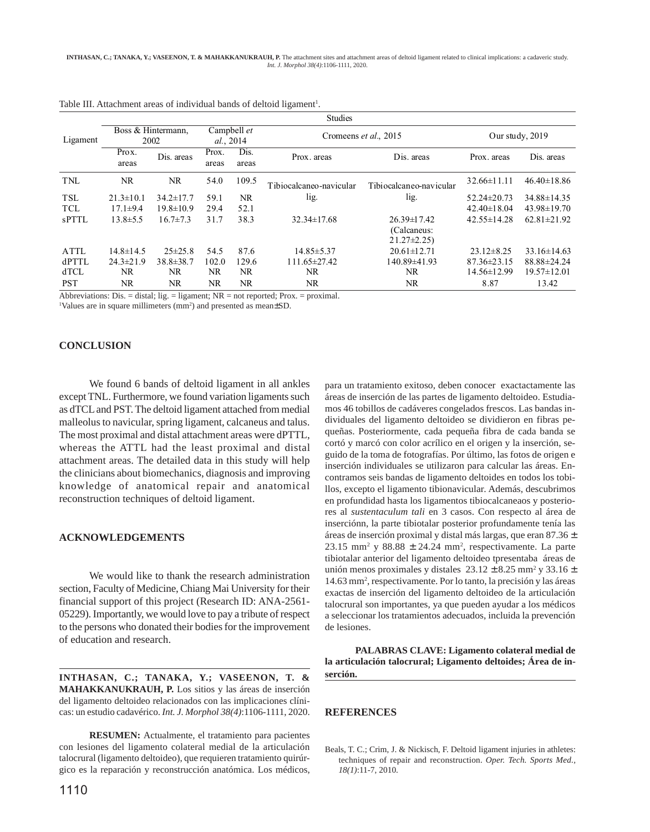|              | <b>Studies</b>             |                 |                          |               |                                                                                                                                     |                                                      |                   |                   |
|--------------|----------------------------|-----------------|--------------------------|---------------|-------------------------------------------------------------------------------------------------------------------------------------|------------------------------------------------------|-------------------|-------------------|
| Ligament     | Boss & Hintermann,<br>2002 |                 | Campbell et<br>al., 2014 |               | Cromeens et al., 2015                                                                                                               |                                                      | Our study, 2019   |                   |
|              | Prox.<br>areas             | Dis. areas      | Prox.<br>areas           | Dis.<br>areas | Prox. areas                                                                                                                         | Dis. areas                                           | Prox. areas       | Dis. areas        |
| TNL          | NR.                        | NR.             | 54.0                     | 109.5         | Tibiocalcaneo-navicular                                                                                                             | Tibiocalcaneo-navicular                              | $32.66 \pm 11.11$ | $46.40 \pm 18.86$ |
| <b>TSL</b>   | $21.3 \pm 10.1$            | $34.2 \pm 17.7$ | 59.1                     | NR.           | lig.                                                                                                                                | lig.                                                 | $52.24 \pm 20.73$ | 34.88±14.35       |
| <b>TCL</b>   | $17.1 \pm 9.4$             | $19.8 \pm 10.9$ | 29.4                     | 52.1          |                                                                                                                                     |                                                      | $42.40 \pm 18.04$ | $43.98 \pm 19.70$ |
| <b>sPTTL</b> | $13.8 \pm 5.5$             | $16.7 \pm 7.3$  | 31.7                     | 38.3          | $32.34 \pm 17.68$                                                                                                                   | $26.39 \pm 17.42$<br>(Calcaneus:<br>$21.27 \pm 2.25$ | $42.55 \pm 14.28$ | $62.81 \pm 21.92$ |
| <b>ATTL</b>  | $14.8 \pm 14.5$            | $25 \pm 25.8$   | 54.5                     | 87.6          | $14.85 \pm 5.37$                                                                                                                    | $20.61 \pm 12.71$                                    | $23.12\pm8.25$    | $33.16 \pm 14.63$ |
| dPTTL        | $24.3 \pm 21.9$            | $38.8 \pm 38.7$ | 102.0                    | 129.6         | $111.65 \pm 27.42$                                                                                                                  | 140.89±41.93                                         | $87.36 \pm 23.15$ | 88.88±24.24       |
| dTCL         | NR.                        | NR.             | NR.                      | NR.           | NR.                                                                                                                                 | NR.                                                  | 14.56±12.99       | $19.57 \pm 12.01$ |
| <b>PST</b>   | NR.                        | NR.             | NR.                      | NR.           | NR.<br>$\Lambda$ blance is the contract of $\Lambda$ is considered. $\Lambda$ in the second of $\Lambda$ is the second of $\Lambda$ | NR.                                                  | 8.87              | 13.42             |

Table III. Attachment areas of individual bands of deltoid ligament<sup>1</sup>.

Abbreviations: Dis. = distal; lig. = ligament; NR = not reported; Prox. = proximal.

<sup>1</sup>Values are in square millimeters (mm<sup>2</sup>) and presented as mean $\pm$ SD.

## **CONCLUSION**

We found 6 bands of deltoid ligament in all ankles except TNL. Furthermore, we found variation ligaments such as dTCL and PST. The deltoid ligament attached from medial malleolus to navicular, spring ligament, calcaneus and talus. The most proximal and distal attachment areas were dPTTL, whereas the ATTL had the least proximal and distal attachment areas. The detailed data in this study will help the clinicians about biomechanics, diagnosis and improving knowledge of anatomical repair and anatomical reconstruction techniques of deltoid ligament.

### **ACKNOWLEDGEMENTS**

We would like to thank the research administration section, Faculty of Medicine, Chiang Mai University for their financial support of this project (Research ID: ANA-2561- 05229). Importantly, we would love to pay a tribute of respect to the persons who donated their bodies for the improvement of education and research.

**INTHASAN, C.; TANAKA, Y.; VASEENON, T. & MAHAKKANUKRAUH, P.** Los sitios y las áreas de inserción del ligamento deltoideo relacionados con las implicaciones clínicas: un estudio cadavérico. *Int. J. Morphol 38(4)*:1106-1111, 2020.

**RESUMEN:** Actualmente, el tratamiento para pacientes con lesiones del ligamento colateral medial de la articulación talocrural (ligamento deltoideo), que requieren tratamiento quirúrgico es la reparación y reconstrucción anatómica. Los médicos, para un tratamiento exitoso, deben conocer exactactamente las áreas de inserción de las partes de ligamento deltoideo. Estudiamos 46 tobillos de cadáveres congelados frescos. Las bandas individuales del ligamento deltoideo se dividieron en fibras pequeñas. Posteriormente, cada pequeña fibra de cada banda se cortó y marcó con color acrílico en el origen y la inserción, seguido de la toma de fotografías. Por último, las fotos de origen e inserción individuales se utilizaron para calcular las áreas. Encontramos seis bandas de ligamento deltoides en todos los tobillos, excepto el ligamento tibionavicular. Además, descubrimos en profundidad hasta los ligamentos tibiocalcaneaos y posteriores al *sustentaculum tali* en 3 casos. Con respecto al área de inserciónn, la parte tibiotalar posterior profundamente tenía las áreas de inserción proximal y distal más largas, que eran 87.36 ±  $23.15$  mm<sup>2</sup> y  $88.88 \pm 24.24$  mm<sup>2</sup>, respectivamente. La parte tibiotalar anterior del ligamento deltoideo tpresentaba áreas de unión menos proximales y distales  $23.12 \pm 8.25$  mm<sup>2</sup> y 33.16  $\pm$ 14.63 mm2 , respectivamente. Por lo tanto, la precisión y las áreas exactas de inserción del ligamento deltoideo de la articulación talocrural son importantes, ya que pueden ayudar a los médicos a seleccionar los tratamientos adecuados, incluida la prevención de lesiones.

**PALABRAS CLAVE: Ligamento colateral medial de la articulación talocrural; Ligamento deltoides; Área de inserción.**

### **REFERENCES**

Beals, T. C.; Crim, J. & Nickisch, F. Deltoid ligament injuries in athletes: techniques of repair and reconstruction. *Oper. Tech. Sports Med., 18(1)*:11-7, 2010.